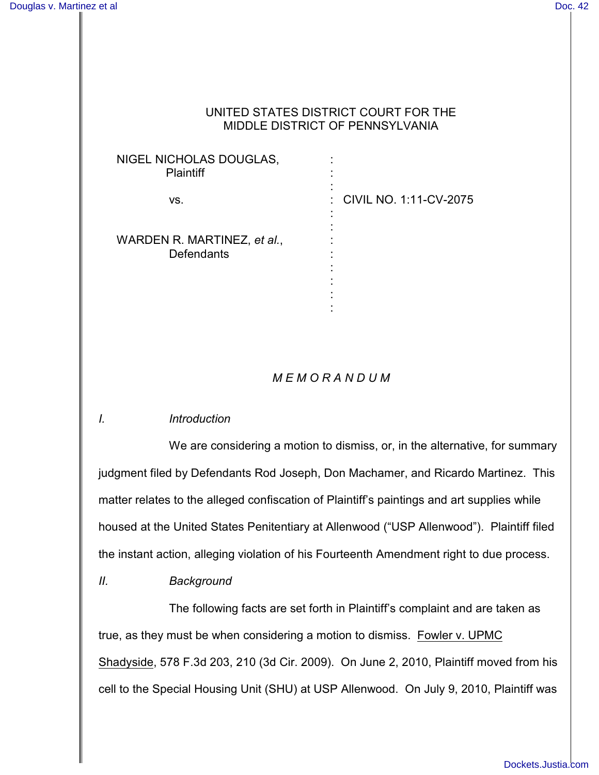### UNITED STATES DISTRICT COURT FOR THE MIDDLE DISTRICT OF PENNSYLVANIA

| NIGEL NICHOLAS DOUGLAS,<br><b>Plaintiff</b>      |                          |
|--------------------------------------------------|--------------------------|
| VS.                                              | : CIVIL NO. 1:11-CV-2075 |
| WARDEN R. MARTINEZ, et al.,<br><b>Defendants</b> |                          |

# *M E M O R A N D U M*

:

## *I. Introduction*

We are considering a motion to dismiss, or, in the alternative, for summary judgment filed by Defendants Rod Joseph, Don Machamer, and Ricardo Martinez. This matter relates to the alleged confiscation of Plaintiff's paintings and art supplies while housed at the United States Penitentiary at Allenwood ("USP Allenwood"). Plaintiff filed the instant action, alleging violation of his Fourteenth Amendment right to due process.

*II. Background*

The following facts are set forth in Plaintiff's complaint and are taken as true, as they must be when considering a motion to dismiss. Fowler v. UPMC Shadyside, 578 F.3d 203, 210 (3d Cir. 2009). On June 2, 2010, Plaintiff moved from his cell to the Special Housing Unit (SHU) at USP Allenwood. On July 9, 2010, Plaintiff was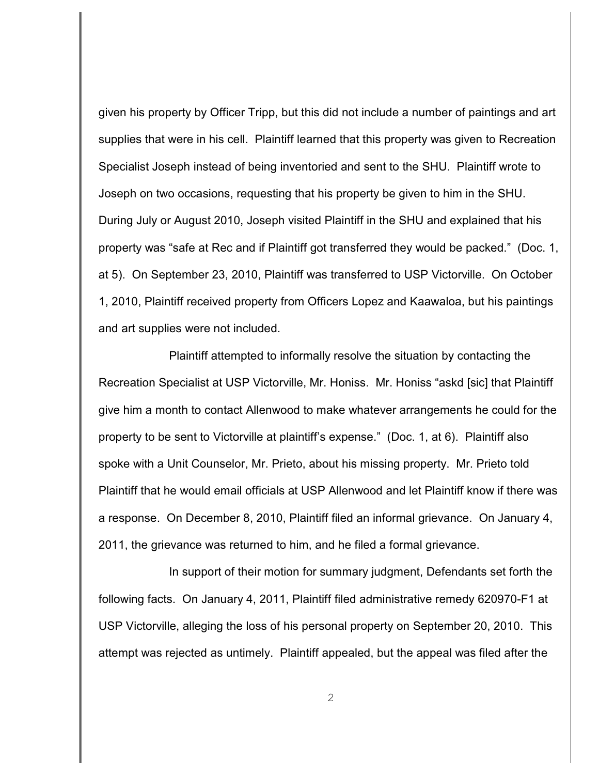given his property by Officer Tripp, but this did not include a number of paintings and art supplies that were in his cell. Plaintiff learned that this property was given to Recreation Specialist Joseph instead of being inventoried and sent to the SHU. Plaintiff wrote to Joseph on two occasions, requesting that his property be given to him in the SHU. During July or August 2010, Joseph visited Plaintiff in the SHU and explained that his property was "safe at Rec and if Plaintiff got transferred they would be packed." (Doc. 1, at 5). On September 23, 2010, Plaintiff was transferred to USP Victorville. On October 1, 2010, Plaintiff received property from Officers Lopez and Kaawaloa, but his paintings and art supplies were not included.

Plaintiff attempted to informally resolve the situation by contacting the Recreation Specialist at USP Victorville, Mr. Honiss. Mr. Honiss "askd [sic] that Plaintiff give him a month to contact Allenwood to make whatever arrangements he could for the property to be sent to Victorville at plaintiff's expense." (Doc. 1, at 6). Plaintiff also spoke with a Unit Counselor, Mr. Prieto, about his missing property. Mr. Prieto told Plaintiff that he would email officials at USP Allenwood and let Plaintiff know if there was a response. On December 8, 2010, Plaintiff filed an informal grievance. On January 4, 2011, the grievance was returned to him, and he filed a formal grievance.

In support of their motion for summary judgment, Defendants set forth the following facts. On January 4, 2011, Plaintiff filed administrative remedy 620970-F1 at USP Victorville, alleging the loss of his personal property on September 20, 2010. This attempt was rejected as untimely. Plaintiff appealed, but the appeal was filed after the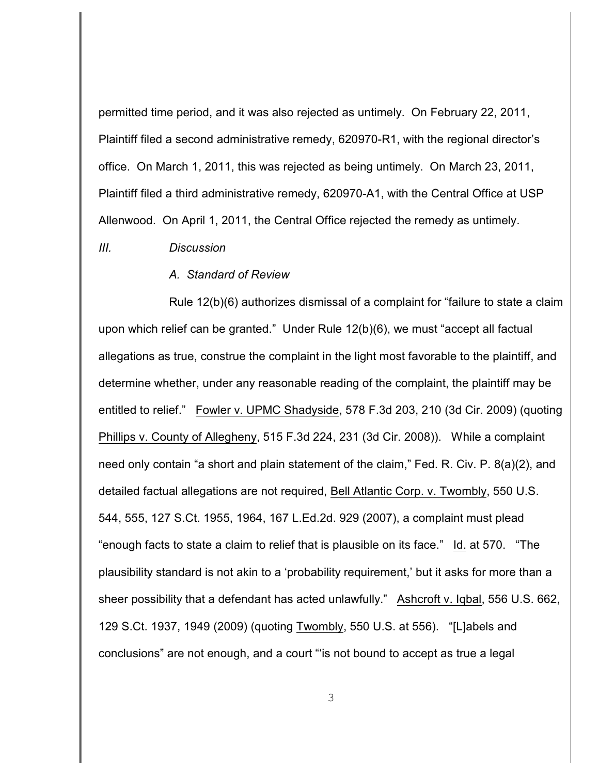permitted time period, and it was also rejected as untimely. On February 22, 2011, Plaintiff filed a second administrative remedy, 620970-R1, with the regional director's office. On March 1, 2011, this was rejected as being untimely. On March 23, 2011, Plaintiff filed a third administrative remedy, 620970-A1, with the Central Office at USP Allenwood. On April 1, 2011, the Central Office rejected the remedy as untimely.

#### *III. Discussion*

#### *A. Standard of Review*

Rule 12(b)(6) authorizes dismissal of a complaint for "failure to state a claim upon which relief can be granted." Under Rule 12(b)(6), we must "accept all factual allegations as true, construe the complaint in the light most favorable to the plaintiff, and determine whether, under any reasonable reading of the complaint, the plaintiff may be entitled to relief." Fowler v. UPMC Shadyside, 578 F.3d 203, 210 (3d Cir. 2009) (quoting Phillips v. County of Allegheny, 515 F.3d 224, 231 (3d Cir. 2008)). While a complaint need only contain "a short and plain statement of the claim," Fed. R. Civ. P. 8(a)(2), and detailed factual allegations are not required, Bell Atlantic Corp. v. Twombly, 550 U.S. 544, 555, 127 S.Ct. 1955, 1964, 167 L.Ed.2d. 929 (2007), a complaint must plead "enough facts to state a claim to relief that is plausible on its face." Id. at 570. "The plausibility standard is not akin to a 'probability requirement,' but it asks for more than a sheer possibility that a defendant has acted unlawfully." Ashcroft v. Iqbal, 556 U.S. 662, 129 S.Ct. 1937, 1949 (2009) (quoting Twombly, 550 U.S. at 556). "[L]abels and conclusions" are not enough, and a court "'is not bound to accept as true a legal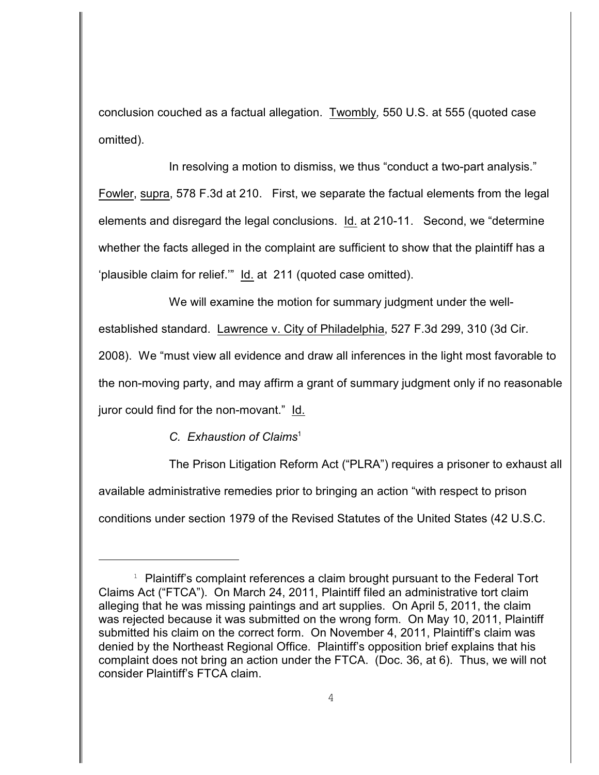conclusion couched as a factual allegation. Twombly*,* 550 U.S. at 555 (quoted case omitted).

In resolving a motion to dismiss, we thus "conduct a two-part analysis." Fowler, supra, 578 F.3d at 210. First, we separate the factual elements from the legal elements and disregard the legal conclusions. Id. at 210-11. Second, we "determine whether the facts alleged in the complaint are sufficient to show that the plaintiff has a 'plausible claim for relief.'" Id. at 211 (quoted case omitted).

We will examine the motion for summary judgment under the wellestablished standard. Lawrence v. City of Philadelphia, 527 F.3d 299, 310 (3d Cir. 2008). We "must view all evidence and draw all inferences in the light most favorable to the non-moving party, and may affirm a grant of summary judgment only if no reasonable juror could find for the non-movant." Id.

## *C. Exhaustion of Claims* 1

The Prison Litigation Reform Act ("PLRA") requires a prisoner to exhaust all available administrative remedies prior to bringing an action "with respect to prison conditions under section 1979 of the Revised Statutes of the United States (42 U.S.C.

 $1$  Plaintiff's complaint references a claim brought pursuant to the Federal Tort Claims Act ("FTCA"). On March 24, 2011, Plaintiff filed an administrative tort claim alleging that he was missing paintings and art supplies. On April 5, 2011, the claim was rejected because it was submitted on the wrong form. On May 10, 2011, Plaintiff submitted his claim on the correct form. On November 4, 2011, Plaintiff's claim was denied by the Northeast Regional Office.Plaintiff's opposition brief explains that his complaint does not bring an action under the FTCA. (Doc. 36, at 6). Thus, we will not consider Plaintiff's FTCA claim.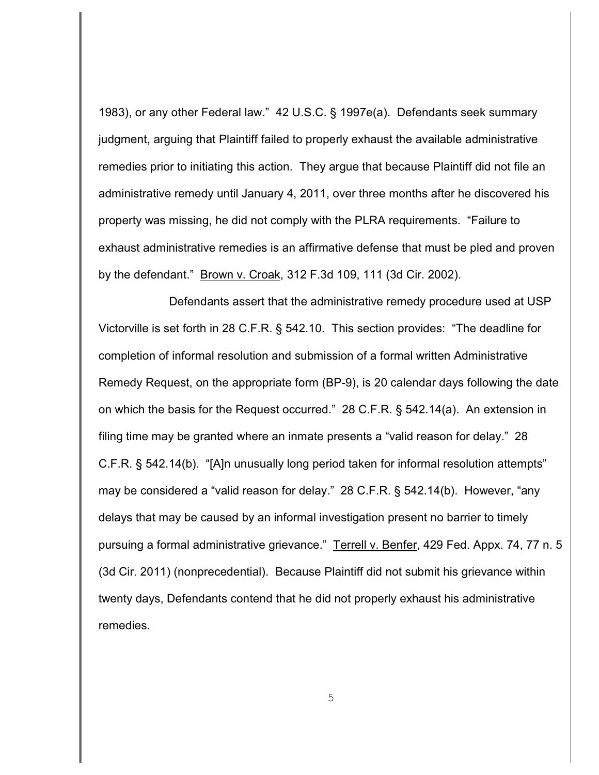1983), or any other Federal law." 42 U.S.C. § 1997e(a). Defendants seek summary judgment, arguing that Plaintiff failed to properly exhaust the available administrative remedies prior to initiating this action. They argue that because Plaintiff did not file an administrative remedy until January 4, 2011, over three months after he discovered his property was missing, he did not comply with the PLRA requirements. "Failure to exhaust administrative remedies is an affirmative defense that must be pled and proven by the defendant." Brown v. Croak, 312 F.3d 109, 111 (3d Cir. 2002).

Defendants assert that the administrative remedy procedure used at USP Victorville is set forth in 28 C.F.R. § 542.10. This section provides: "The deadline for completion of informal resolution and submission of a formal written Administrative Remedy Request, on the appropriate form (BP-9), is 20 calendar days following the date on which the basis for the Request occurred." 28 C.F.R. § 542.14(a). An extension in filing time may be granted where an inmate presents a "valid reason for delay." 28 C.F.R. § 542.14(b). "[A]n unusually long period taken for informal resolution attempts" may be considered a "valid reason for delay." 28 C.F.R. § 542.14(b). However, "any delays that may be caused by an informal investigation present no barrier to timely pursuing a formal administrative grievance." Terrell v. Benfer, 429 Fed. Appx. 74, 77 n. 5 (3d Cir. 2011) (nonprecedential). Because Plaintiff did not submit his grievance within twenty days, Defendants contend that he did not properly exhaust his administrative remedies.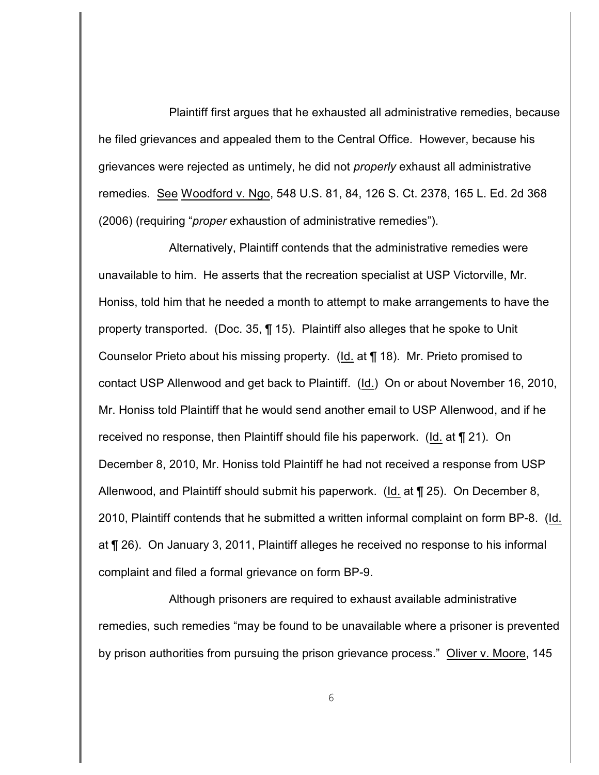Plaintiff first argues that he exhausted all administrative remedies, because he filed grievances and appealed them to the Central Office. However, because his grievances were rejected as untimely, he did not *properly* exhaust all administrative remedies. See Woodford v. Ngo, 548 U.S. 81, 84, 126 S. Ct. 2378, 165 L. Ed. 2d 368 (2006) (requiring "*proper* exhaustion of administrative remedies").

Alternatively, Plaintiff contends that the administrative remedies were unavailable to him. He asserts that the recreation specialist at USP Victorville, Mr. Honiss, told him that he needed a month to attempt to make arrangements to have the property transported. (Doc. 35, ¶ 15). Plaintiff also alleges that he spoke to Unit Counselor Prieto about his missing property. (Id. at ¶ 18). Mr. Prieto promised to contact USP Allenwood and get back to Plaintiff. (Id.) On or about November 16, 2010, Mr. Honiss told Plaintiff that he would send another email to USP Allenwood, and if he received no response, then Plaintiff should file his paperwork. (Id. at ¶ 21). On December 8, 2010, Mr. Honiss told Plaintiff he had not received a response from USP Allenwood, and Plaintiff should submit his paperwork. (Id. at ¶ 25). On December 8, 2010, Plaintiff contends that he submitted a written informal complaint on form BP-8. (Id. at ¶ 26). On January 3, 2011, Plaintiff alleges he received no response to his informal complaint and filed a formal grievance on form BP-9.

Although prisoners are required to exhaust available administrative remedies, such remedies "may be found to be unavailable where a prisoner is prevented by prison authorities from pursuing the prison grievance process." Oliver v. Moore, 145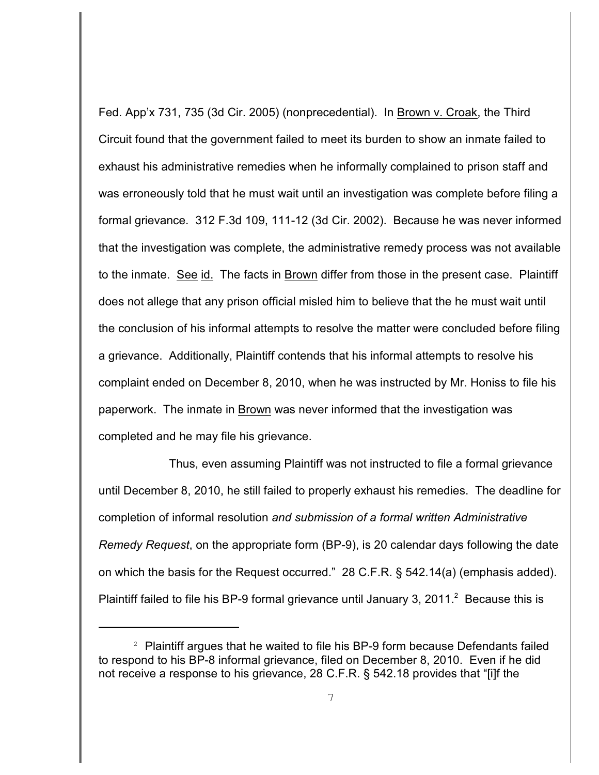Fed. App'x 731, 735 (3d Cir. 2005) (nonprecedential). In Brown v. Croak, the Third Circuit found that the government failed to meet its burden to show an inmate failed to exhaust his administrative remedies when he informally complained to prison staff and was erroneously told that he must wait until an investigation was complete before filing a formal grievance. 312 F.3d 109, 111-12 (3d Cir. 2002). Because he was never informed that the investigation was complete, the administrative remedy process was not available to the inmate. See id. The facts in Brown differ from those in the present case. Plaintiff does not allege that any prison official misled him to believe that the he must wait until the conclusion of his informal attempts to resolve the matter were concluded before filing a grievance. Additionally, Plaintiff contends that his informal attempts to resolve his complaint ended on December 8, 2010, when he was instructed by Mr. Honiss to file his paperwork. The inmate in Brown was never informed that the investigation was completed and he may file his grievance.

Thus, even assuming Plaintiff was not instructed to file a formal grievance until December 8, 2010, he still failed to properly exhaust his remedies. The deadline for completion of informal resolution *and submission of a formal written Administrative Remedy Request*, on the appropriate form (BP-9), is 20 calendar days following the date on which the basis for the Request occurred." 28 C.F.R. § 542.14(a) (emphasis added). Plaintiff failed to file his BP-9 formal grievance until January 3, 2011. Because this is

 $2$  Plaintiff argues that he waited to file his BP-9 form because Defendants failed to respond to his BP-8 informal grievance, filed on December 8, 2010. Even if he did not receive a response to his grievance, 28 C.F.R. § 542.18 provides that "[i]f the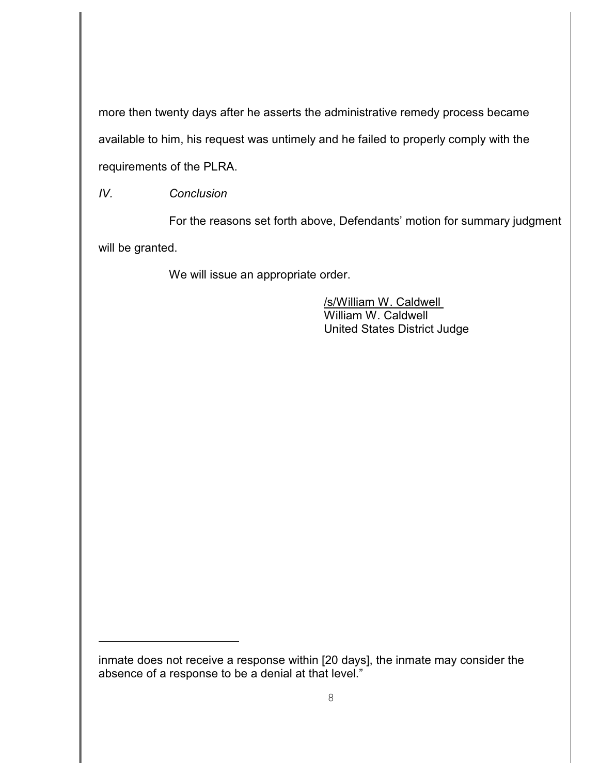more then twenty days after he asserts the administrative remedy process became available to him, his request was untimely and he failed to properly comply with the requirements of the PLRA.

*IV. Conclusion*

For the reasons set forth above, Defendants' motion for summary judgment will be granted.

We will issue an appropriate order.

/s/William W. Caldwell William W. Caldwell United States District Judge

inmate does not receive a response within [20 days], the inmate may consider the absence of a response to be a denial at that level."